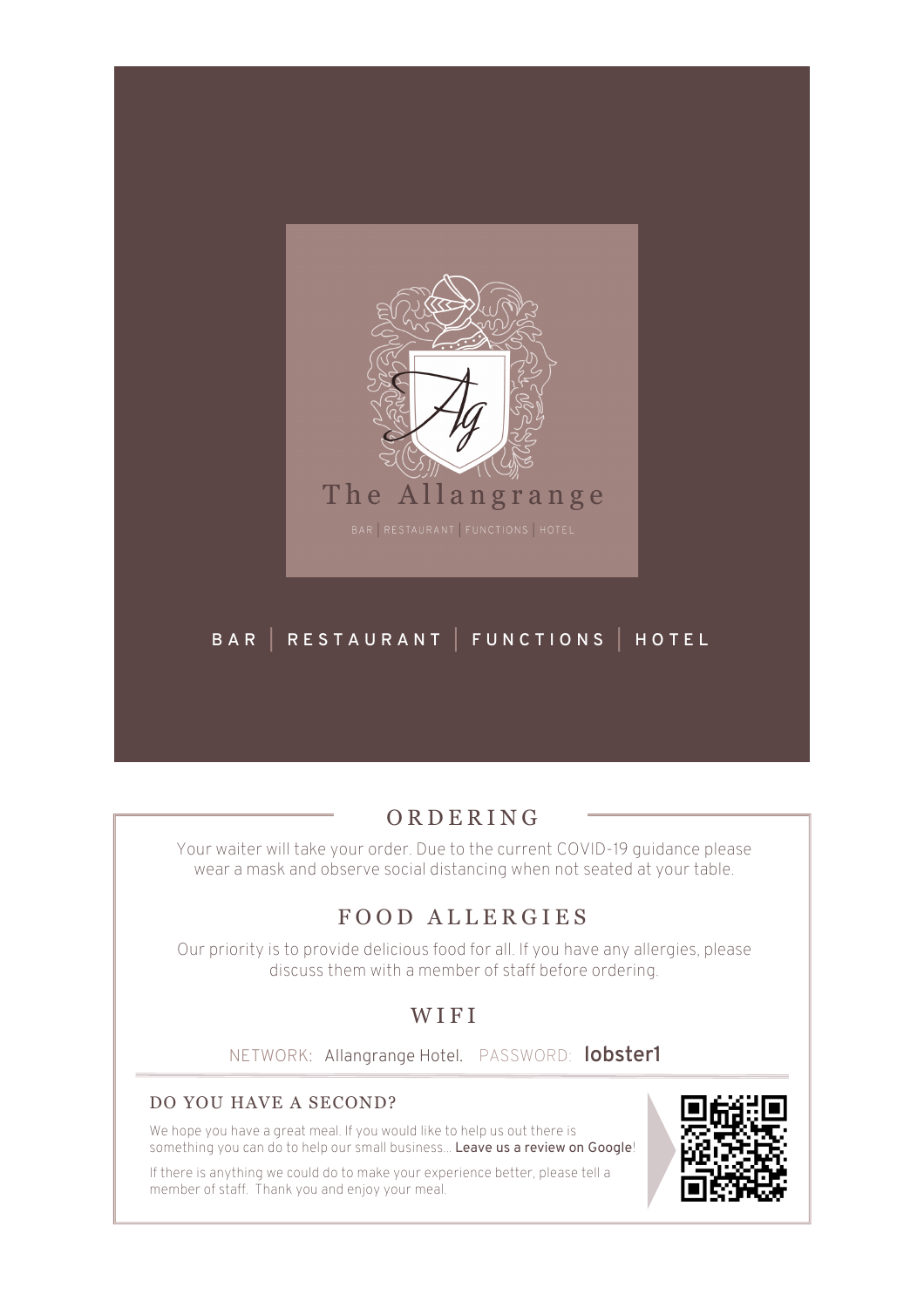

## ORDERING

Your waiter will take your order. Due to the current COVID-19 guidance please wear a mask and observe social distancing when not seated at your table.

## FOOD ALLERGIES

Our priority is to provide delicious food for all. If you have any allergies, please discuss them with a member of staff before ordering.

## WIFI

NETWORK: Allangrange Hotel. PASSWORD: **lobster1**

## DO YOU HAVE A SECOND?

We hope you have a great meal. If you would like to help us out there is something you can do to help our small business... Leave us a review on Google!

If there is anything we could do to make your experience better, please tell a member of staff. Thank you and enjoy your meal.

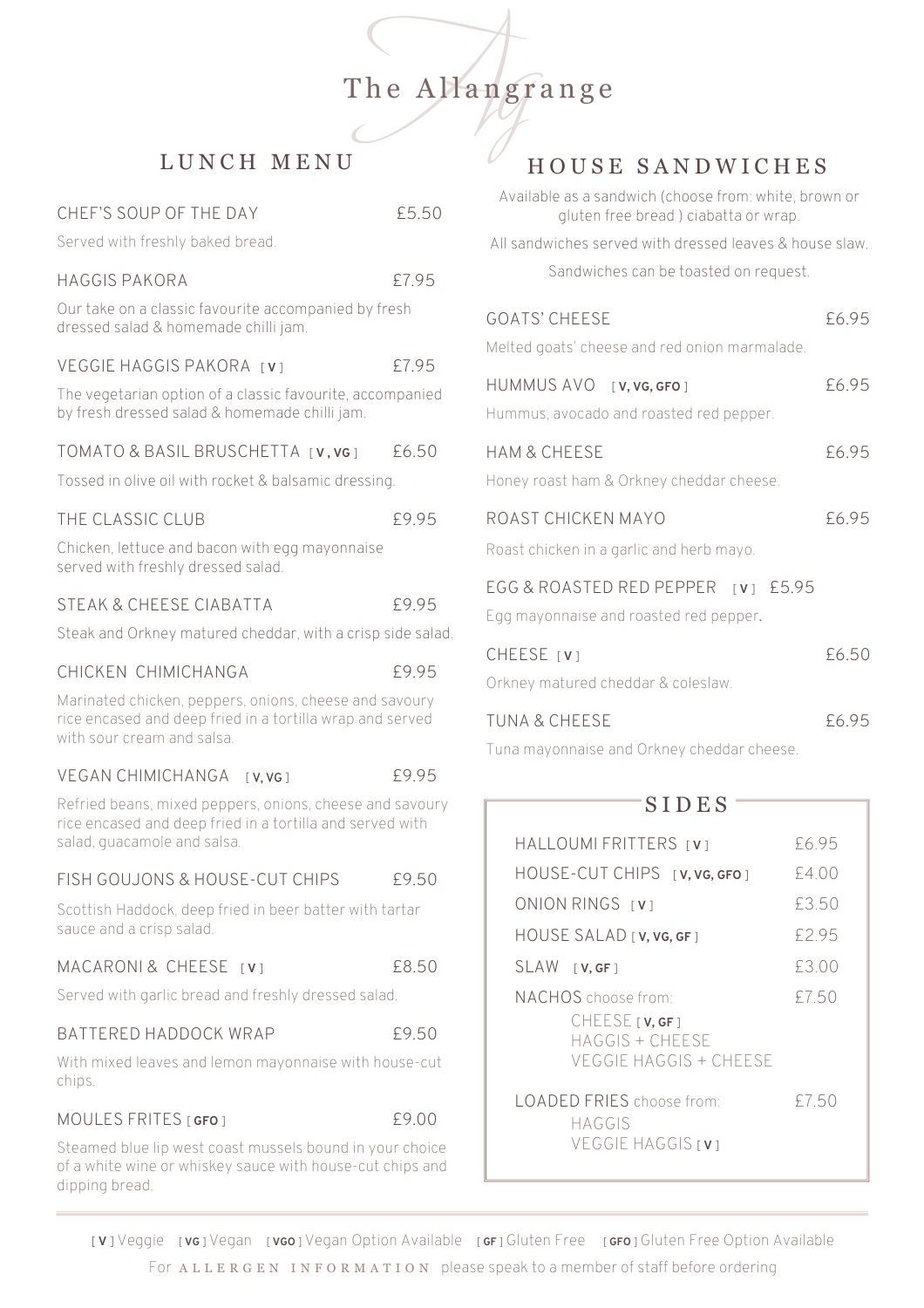## The Allangrange

## LUNCH MENU

| CHEF'S SOUP OF THE DAY<br>Served with freshly baked bread.                                                                                                                                  | £5.50 |
|---------------------------------------------------------------------------------------------------------------------------------------------------------------------------------------------|-------|
| <b>HAGGIS PAKORA</b><br>Our take on a classic favourite accompanied by fresh<br>dressed salad & homemade chilli jam.                                                                        | £7.95 |
| VEGGIE HAGGIS PAKORA [V]<br>The vegetarian option of a classic favourite, accompanied<br>by fresh dressed salad & homemade chilli jam.                                                      | £7.95 |
| TOMATO & BASIL BRUSCHETTA [V, VG]<br>Tossed in olive oil with rocket & balsamic dressing.                                                                                                   | £6.50 |
| THE CLASSIC CLUB<br>Chicken, lettuce and bacon with egg mayonnaise<br>served with freshly dressed salad.                                                                                    | £9.95 |
| STEAK & CHEESE CIABATTA<br>Steak and Orkney matured cheddar, with a crisp side salad.                                                                                                       | £9.95 |
| CHICKEN CHIMICHANGA<br>Marinated chicken, peppers, onions, cheese and savoury<br>rice encased and deep fried in a tortilla wrap and served<br>with sour cream and salsa.                    | £9.95 |
| <b>VEGAN CHIMICHANGA</b><br>[V, VG]<br>Refried beans, mixed peppers, onions, cheese and savoury<br>rice encased and deep fried in a tortilla and served with<br>salad, guacamole and salsa. | £9.95 |
| FISH GOUJONS & HOUSE-CUT CHIPS<br>Scottish Haddock, deep fried in beer batter with tartar<br>sauce and a crisp salad.                                                                       | £9.50 |
| MACARONI& CHEESE [V]<br>Served with garlic bread and freshly dressed salad.                                                                                                                 | £8.50 |
| BATTERED HADDOCK WRAP<br>With mixed leaves and lemon mayonnaise with house-cut<br>chips.                                                                                                    | £9.50 |
| MOULES FRITES [GFO]<br>Steamed blue lip west coast mussels bound in your choice<br>of a white wine or whiskey sauce with house-cut chips and<br>dipping bread.                              | £9.00 |

## HOUSE SANDWICHES

Available as a sandwich (choose from: white, brown or gluten free bread ) ciabatta or wrap.

All sandwiches served with dressed leaves & house slaw. Sandwiches can be toasted on request.

| <b>GOATS' CHEESE</b>                                                                                                | £6.95                   |
|---------------------------------------------------------------------------------------------------------------------|-------------------------|
| Melted goats' cheese and red onion marmalade.<br>HUMMUS AVO [V, VG, GFO]<br>Hummus, avocado and roasted red pepper. | £6.95                   |
| <b>HAM &amp; CHEESE</b><br>Honey roast ham & Orkney cheddar cheese.                                                 | £6.95                   |
| ROAST CHICKEN MAYO<br>Roast chicken in a garlic and herb mayo.                                                      | £6.95                   |
| EGG & ROASTED RED PEPPER [V] £5.95<br>Egg mayonnaise and roasted red pepper.                                        |                         |
| CHEESE <sub>[V]</sub><br>Orkney matured cheddar & coleslaw.                                                         | £6.50                   |
| <b>TUNA &amp; CHEESE</b><br>Tuna mayonnaise and Orkney cheddar cheese.                                              | £6.95                   |
| <b>SIDES</b>                                                                                                        |                         |
| HALLOUMI FRITTERS [V]<br>HOUSE-CUT CHIPS [V, VG, GFO]                                                               | £6.95<br>£4.00          |
| ONION RINGS [V]<br>HOUSE SALAD [V, VG, GF]<br>SLAW [V, GF]                                                          | £3.50<br>£2.95<br>£3.00 |

NACHOS choose from: £7.50 CHEESE [ **V, GF** ] HAGGIS + CHEESE VEGGIE HAGGIS + CHEESE LOADED FRIES choose from: £7.50

HAGGIS VEGGIE HAGGIS [ **V** ]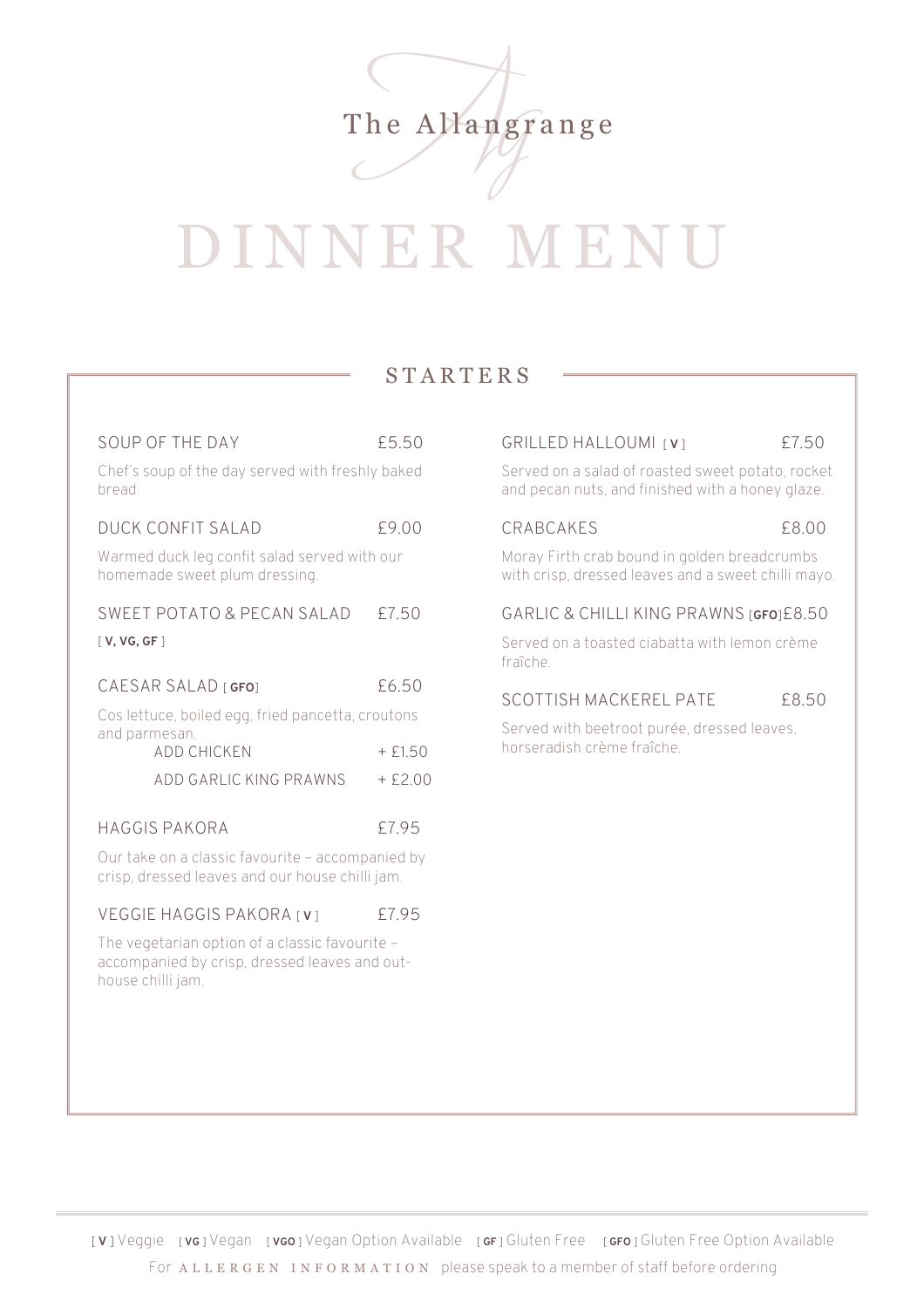

## DINNER MENU

## STARTERS

| SOUP OF THE DAY<br>Chef's soup of the day served with freshly baked<br>bread.                                                                    | £5.50                        |
|--------------------------------------------------------------------------------------------------------------------------------------------------|------------------------------|
| <b>DUCK CONFIT SALAD</b><br>Warmed duck leg confit salad served with our<br>homemade sweet plum dressing.                                        | £9.00                        |
| <b>SWEET POTATO &amp; PECAN SALAD</b><br>$\lceil V, VG, GF \rceil$                                                                               | £7.50                        |
| CAESAR SALAD [GFO]<br>Cos lettuce, boiled egg, fried pancetta, croutons<br>and parmesan.<br>ADD CHICKEN<br><b>ADD GARLIC KING PRAWNS</b>         | £6.50<br>$+ f150$<br>$+5200$ |
| <b>HAGGIS PAKORA</b><br>Our take on a classic favourite - accompanied by<br>crisp, dressed leaves and our house chilli jam.                      | £7.95                        |
| VEGGIE HAGGIS PAKORA [V]<br>The vegetarian option of a classic favourite -<br>accompanied by crisp, dressed leaves and out-<br>house chilli jam. | £7.95                        |

### GRILLED HALLOUMI [ **v** ]  $£7.50$

Served on a salad of roasted sweet potato, rocket and pecan nuts, and finished with a honey glaze.

#### CRABCAKES £8.00

Moray Firth crab bound in golden breadcrumbs with crisp, dressed leaves and a sweet chilli mayo.

#### GARLIC & CHILLI KING PRAWNS [**GFO**]£8.50

Served on a toasted ciabatta with lemon crème fraîche.

#### SCOTTISH MACKEREL PATE F8.50

Served with beetroot purée, dressed leaves, horseradish crème fraîche.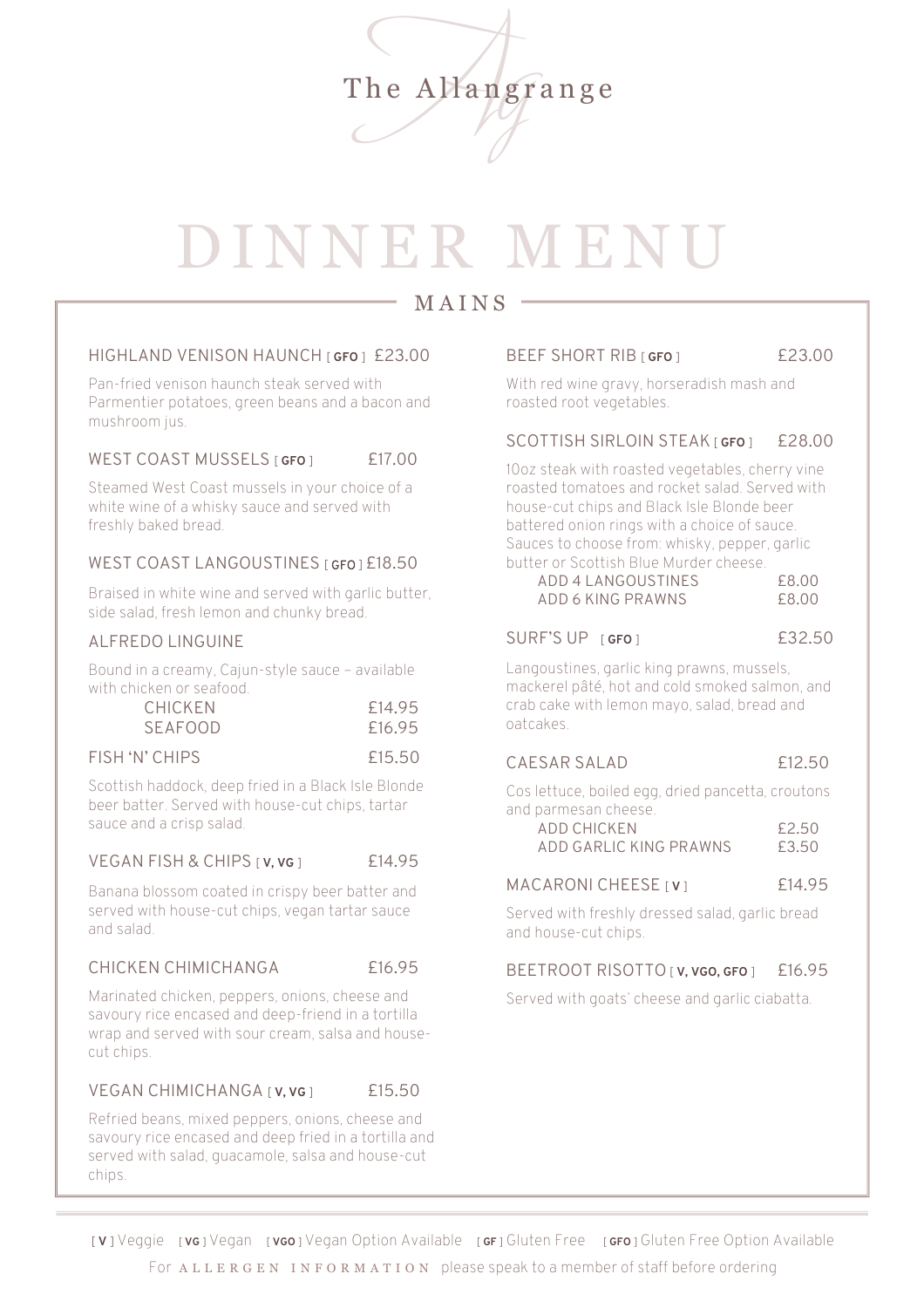

# DINNER MENU

## MAINS

#### HIGHLAND VENISON HAUNCH [ **GFO** ] £23.00

Pan-fried venison haunch steak served with Parmentier potatoes, green beans and a bacon and mushroom jus.

#### WEST COAST MUSSELS [ GFO ] **E17.00**

Steamed West Coast mussels in your choice of a white wine of a whisky sauce and served with freshly baked bread.

#### WEST COAST LANGOUSTINES [ GFO ] £18.50

Braised in white wine and served with garlic butter, side salad, fresh lemon and chunky bread.

#### ALFREDO LINGUINE

Bound in a creamy, Cajun-style sauce – available with chicken or seafood.

| <b>CHICKEN</b> | £14.95 |
|----------------|--------|
| <b>SEAFOOD</b> | £16.95 |

## FISH 'N' CHIPS £15.50

Scottish haddock, deep fried in a Black Isle Blonde beer batter. Served with house-cut chips, tartar sauce and a crisp salad.

#### VEGAN FISH & CHIPS [ **V, VG** ] £14.95

Banana blossom coated in crispy beer batter and served with house-cut chips, vegan tartar sauce and salad.

#### CHICKEN CHIMICHANGA £16.95

Marinated chicken, peppers, onions, cheese and savoury rice encased and deep-friend in a tortilla wrap and served with sour cream, salsa and housecut chips.

#### VEGAN CHIMICHANGA **[ V, VG** ] **E15.50**

Refried beans, mixed peppers, onions, cheese and savoury rice encased and deep fried in a tortilla and served with salad, guacamole, salsa and house-cut chips.

#### BEEF SHORT RIB [ **GFO** ] £23.00

With red wine gravy, horseradish mash and roasted root vegetables.

#### SCOTTISH SIRLOIN STEAK [ **GFO** ] £28.00

10oz steak with roasted vegetables, cherry vine roasted tomatoes and rocket salad. Served with house-cut chips and Black Isle Blonde beer battered onion rings with a choice of sauce. Sauces to choose from: whisky, pepper, garlic butter or Scottish Blue Murder cheese.

| ADD 4 LANGOUSTINES | £8.00 |
|--------------------|-------|
| ADD 6 KING PRAWNS  | £8.00 |

#### SURF'S UP [ **GFO** ] £32.50

Langoustines, garlic king prawns, mussels, mackerel pâté, hot and cold smoked salmon, and crab cake with lemon mayo, salad, bread and oatcakes.

### CAESAR SALAD **£12.50**

Cos lettuce, boiled egg, dried pancetta, croutons and parmesan cheese.

| ADD CHICKEN            | £2.50 |
|------------------------|-------|
| ADD GARLIC KING PRAWNS | £3.50 |

#### MACARONI CHEESE [ **v** ] **E14.95**

Served with freshly dressed salad, garlic bread and house-cut chips.

#### BEETROOT RISOTTO [ **V, VGO, GFO** ] £16.95

Served with goats' cheese and garlic ciabatta.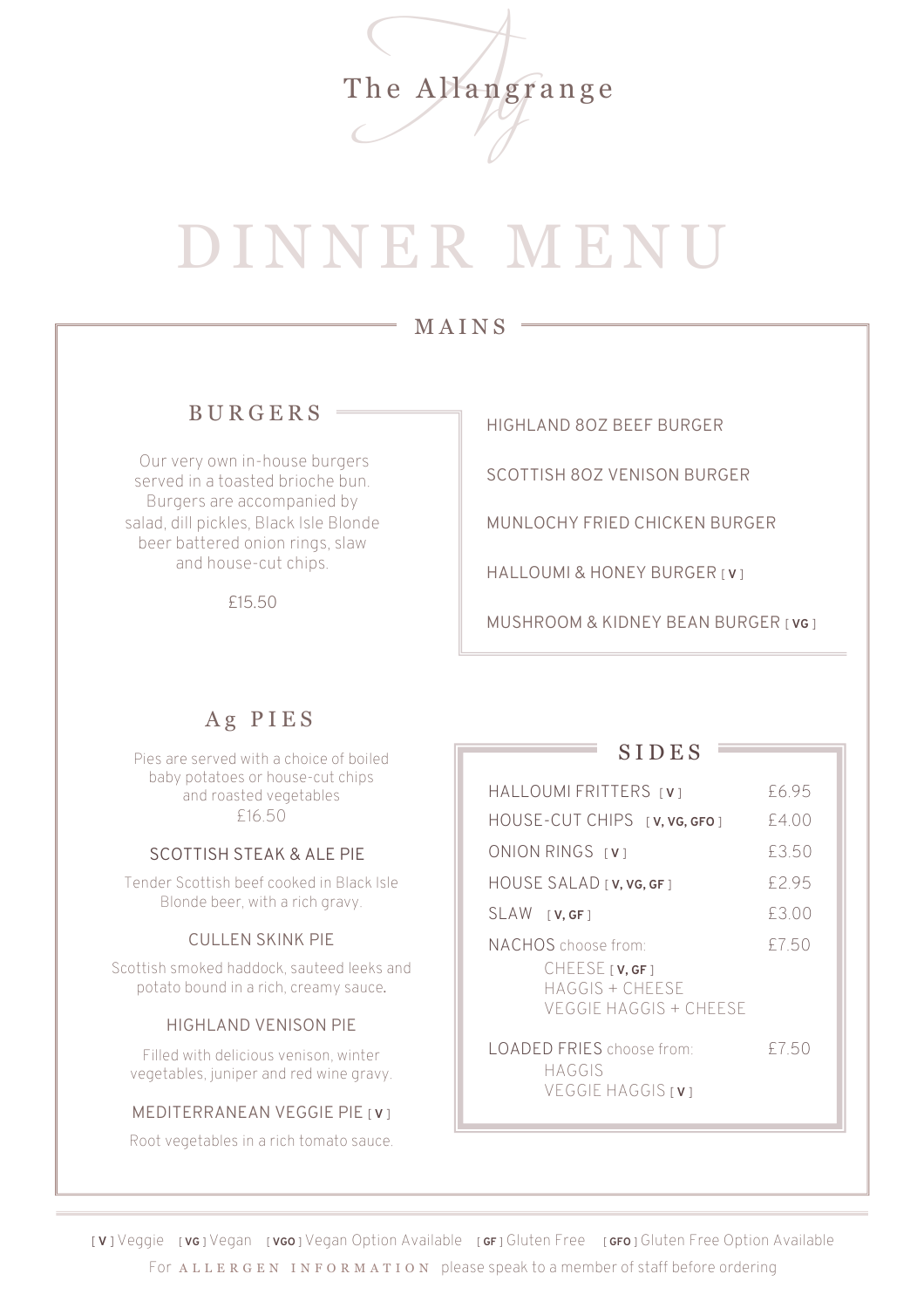The Allangrange

## DINNER MENU

## MAINS

## BURGERS

Our very own in-house burgers served in a toasted brioche bun. Burgers are accompanied by salad, dill pickles, Black Isle Blonde beer battered onion rings, slaw and house-cut chips.

£15.50

HIGHLAND 8OZ BEEF BURGER

SCOTTISH 8OZ VENISON BURGER

MUNLOCHY FRIED CHICKEN BURGER

HALLOUMI & HONEY BURGER [ **V** ]

MUSHROOM & KIDNEY BEAN BURGER [ **VG** ]

## Ag PIES

Pies are served with a choice of boiled baby potatoes or house-cut chips and roasted vegetables £16.50

#### SCOTTISH STEAK & ALE PIE

Tender Scottish beef cooked in Black Isle Blonde beer, with a rich gravy.

#### CULLEN SKINK PIE

Scottish smoked haddock, sauteed leeks and potato bound in a rich, creamy sauce.

#### HIGHLAND VENISON PIE

Filled with delicious venison, winter vegetables, juniper and red wine gravy.

#### MEDITERRANEAN VEGGIE PIE [ **V** ]

Root vegetables in a rich tomato sauce.

## SIDES<sup>t</sup>

|                  | HALLOUMI FRITTERS [V]                                                                 | £6 95 |
|------------------|---------------------------------------------------------------------------------------|-------|
|                  | HOUSE-CUT CHIPS [V, VG, GFO]                                                          | £4.00 |
|                  | ONION RINGS [V]                                                                       | £3.50 |
|                  | HOUSE SALAD [ <b>v.</b> vg. gf ]                                                      | £2.95 |
| $SLAW$ $[V, GF]$ |                                                                                       | F3 00 |
|                  | NACHOS choose from:<br>$CHEESE1$ v, GF 1<br>HAGGIS + CHEESE<br>VEGGIE HAGGIS + CHEESE | £7.50 |
|                  | <b>LOADED FRIES</b> choose from:<br>HAGGIS<br>VEGGIE HAGGIS [V]                       | £750  |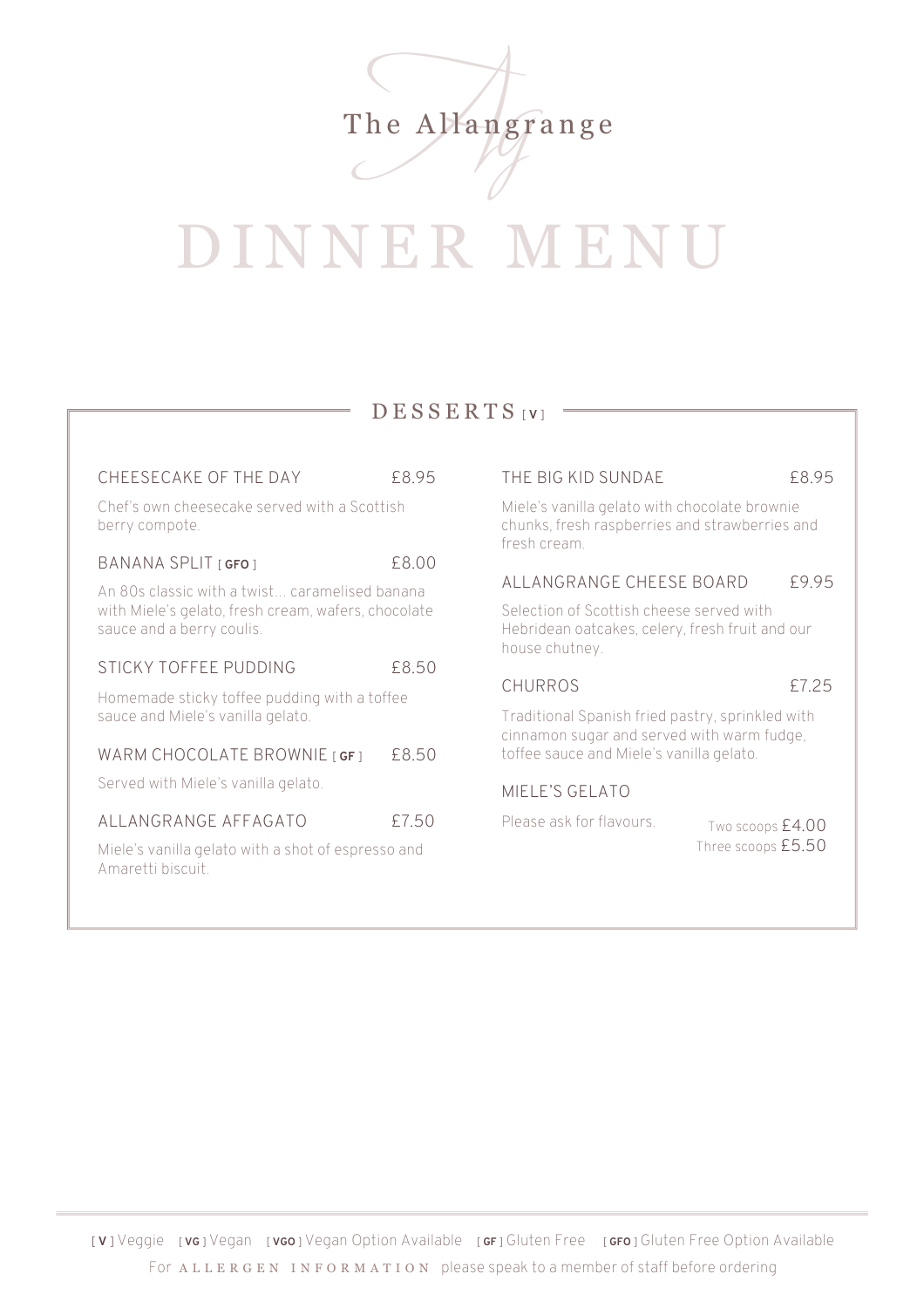

## DINNER MEN

## DESSERTS [ **V** ]

| CHEESECAKE OF THE DAY                                                                                                              | £8.95 |
|------------------------------------------------------------------------------------------------------------------------------------|-------|
| Chef's own cheesecake served with a Scottish<br>berry compote.                                                                     |       |
| BANANA SPLIT [GFO]                                                                                                                 | £8.00 |
| An 80s classic with a twist caramelised banana<br>with Miele's gelato, fresh cream, wafers, chocolate<br>sauce and a berry coulis. |       |
| <b>STICKY TOFFEE PUDDING</b>                                                                                                       | £8.50 |
| Homemade sticky toffee pudding with a toffee<br>sauce and Miele's vanilla gelato.                                                  |       |
| WARM CHOCOLATE BROWNIE [GF]                                                                                                        | £8.50 |
| Served with Miele's vanilla gelato.                                                                                                |       |
| ALLANGRANGE AFFAGATO                                                                                                               | £7.50 |
| Miele's vanilla gelato with a shot of espresso and<br>Amaretti biscuit.                                                            |       |
|                                                                                                                                    |       |

#### THE BIG KID SUNDAE  $£8.95$

Miele's vanilla gelato with chocolate brownie chunks, fresh raspberries and strawberries and fresh cream.

#### ALLANGRANGE CHEESE BOARD £9.95

Selection of Scottish cheese served with Hebridean oatcakes, celery, fresh fruit and our house chutney.

#### CHURROS £7.25

Traditional Spanish fried pastry, sprinkled with cinnamon sugar and served with warm fudge, toffee sauce and Miele's vanilla gelato.

#### MIELE'S GELATO

Please ask for flavours.

Two scoops £4.00 Three scoops £5.50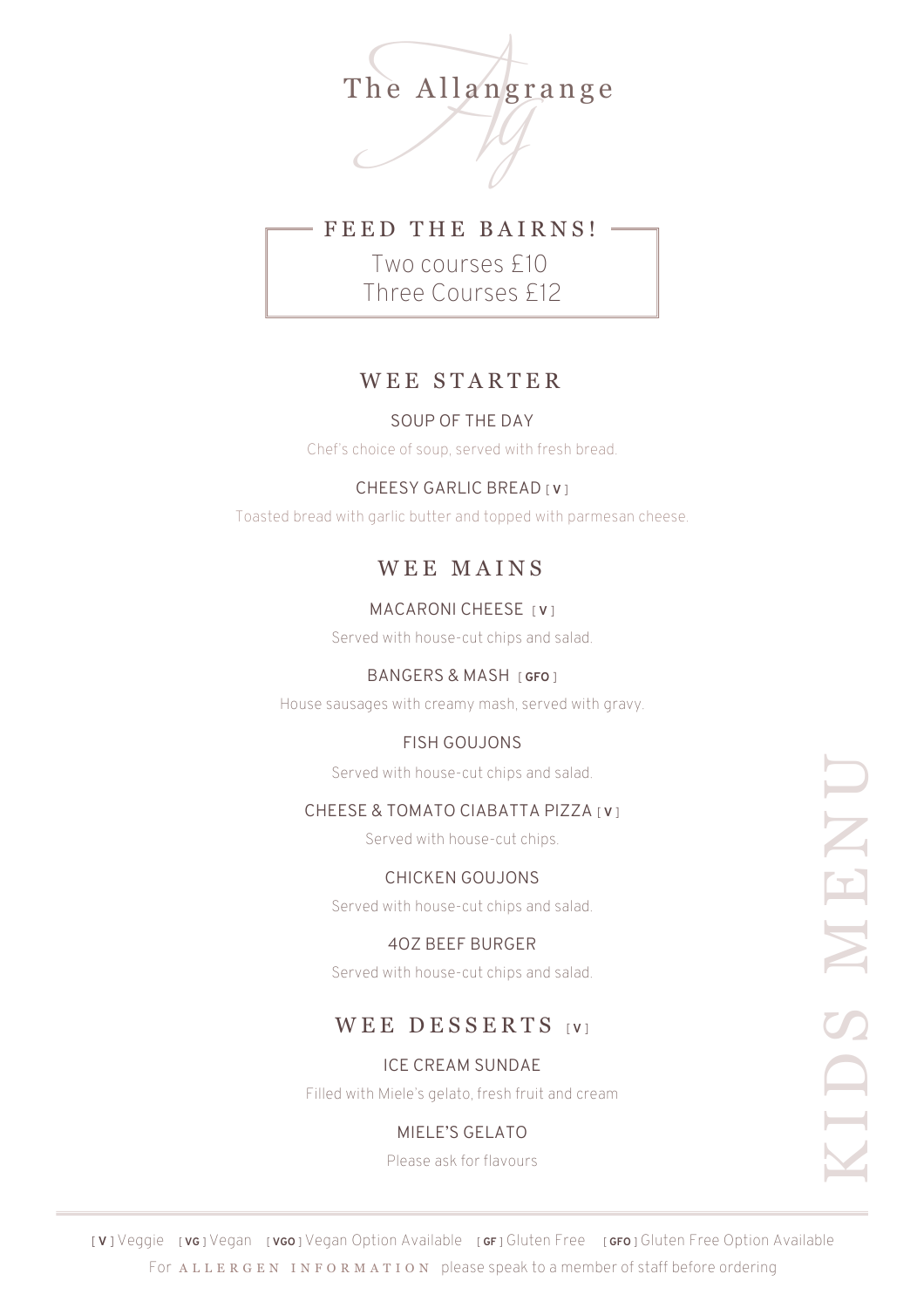



Two courses £10 Three Courses £12

## WEE STARTER

## SOUP OF THE DAY

Chef's choice of soup, served with fresh bread.

## CHEESY GARLIC BREAD [ **V** ]

Toasted bread with garlic butter and topped with parmesan cheese.

## WEE MAINS

## MACARONI CHEESE [ **V** ]

Served with house-cut chips and salad.

## BANGERS & MASH [ **GFO** ]

House sausages with creamy mash, served with gravy.

## FISH GOUJONS

Served with house-cut chips and salad.

## CHEESE & TOMATO CIABATTA PIZZA [ **V** ]

Served with house-cut chips.

## CHICKEN GOUJONS

Served with house-cut chips and salad.

## 4OZ BEEF BURGER

Served with house-cut chips and salad.

## WEE DESSERTS [V]

## ICE CREAM SUNDAE

Filled with Miele's gelato, fresh fruit and cream

## MIELE'S GELATO

Please ask for flavours

For ALLERGEN INFORMATION please speak to a member of staff before ordering [ **V** ] Veggie [ **VG** ] Vegan [ **VGO** ] Vegan Option Available [ **GF** ] Gluten Free [ **GFO** ] Gluten Free Option Available